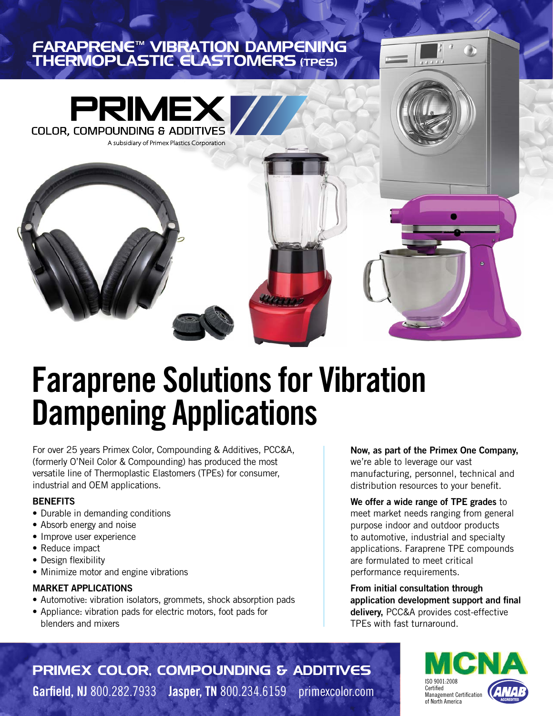### FARAPRENE™ VIBRATION DAMPENING THERMOPLASTIC ELASTOMERS (TPES)



# **Faraprene Solutions for Vibration Dampening Applications**

For over 25 years Primex Color, Compounding & Additives, PCC&A, (formerly O'Neil Color & Compounding) has produced the most versatile line of Thermoplastic Elastomers (TPEs) for consumer, industrial and OEM applications.

### **BENEFITS**

- Durable in demanding conditions
- Absorb energy and noise
- Improve user experience
- Reduce impact
- Design flexibility
- Minimize motor and engine vibrations

### **MARKET APPLICATIONS**

- Automotive: vibration isolators, grommets, shock absorption pads
- Appliance: vibration pads for electric motors, foot pads for blenders and mixers

**Now, as part of the Primex One Company,** we're able to leverage our vast manufacturing, personnel, technical and distribution resources to your benefit.

**We offer a wide range of TPE grades** to meet market needs ranging from general purpose indoor and outdoor products to automotive, industrial and specialty applications. Faraprene TPE compounds are formulated to meet critical performance requirements.

**From initial consultation through application development support and final delivery,** PCC&A provides cost-effective TPEs with fast turnaround.

> ISO 9001:2008 Certified Management Certification of North America

PRIMEX COLOR, COMPOUNDING & ADDITIVES **Garfield, NJ** 800.282.7933 **Jasper, TN** 800.234.6159 primexcolor.com